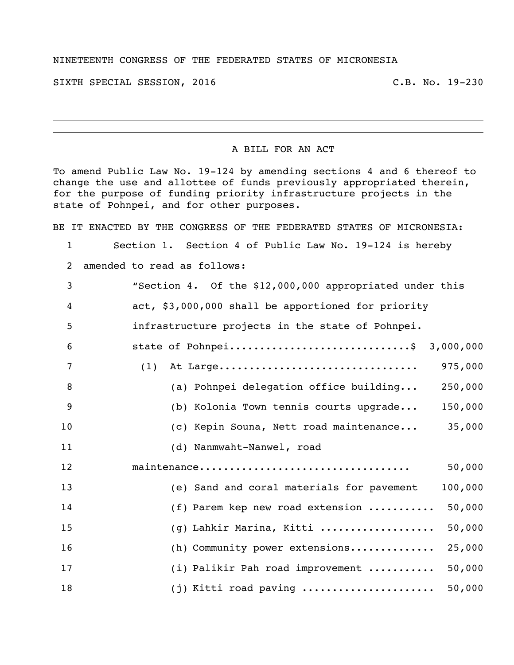## NINETEENTH CONGRESS OF THE FEDERATED STATES OF MICRONESIA

SIXTH SPECIAL SESSION, 2016 C.B. No. 19-230

## A BILL FOR AN ACT

To amend Public Law No. 19-124 by amending sections 4 and 6 thereof to change the use and allottee of funds previously appropriated therein, for the purpose of funding priority infrastructure projects in the state of Pohnpei, and for other purposes.

BE IT ENACTED BY THE CONGRESS OF THE FEDERATED STATES OF MICRONESIA:

Section 1. Section 4 of Public Law No. 19-124 is hereby

amended to read as follows:

| 3  | "Section 4. Of the \$12,000,000 appropriated under this           |
|----|-------------------------------------------------------------------|
| 4  | act, \$3,000,000 shall be apportioned for priority                |
| 5  | infrastructure projects in the state of Pohnpei.                  |
| 6  | state of Pohnpei\$ 3,000,000                                      |
| 7  | At Large<br>975,000<br>(1)                                        |
| 8  | (a) Pohnpei delegation office building<br>250,000                 |
| 9  | (b) Kolonia Town tennis courts upgrade<br>150,000                 |
| 10 | 35,000<br>(c) Kepin Souna, Nett road maintenance                  |
| 11 | (d) Nanmwaht-Nanwel, road                                         |
| 12 | 50,000                                                            |
| 13 | 100,000<br>(e) Sand and coral materials for pavement              |
| 14 | (f) Parem kep new road extension $\ldots \ldots \ldots$<br>50,000 |
| 15 | (g) Lahkir Marina, Kitti<br>50,000                                |
| 16 | (h) Community power extensions<br>25,000                          |
| 17 | (i) Palikir Pah road improvement<br>50,000                        |
| 18 | $(j)$ Kitti road paving<br>50,000                                 |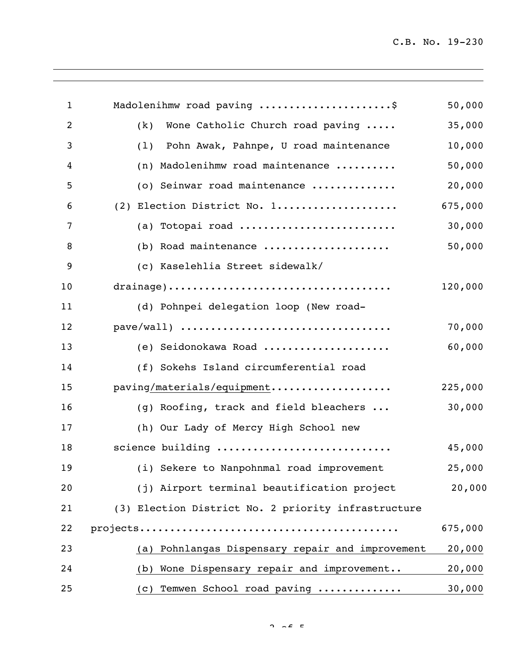C.B. No. 19-230

| $\mathbf{1}$   | Madolenihmw road paving \$                          | 50,000  |
|----------------|-----------------------------------------------------|---------|
| $\overline{2}$ | (k)<br>Wone Catholic Church road paving             | 35,000  |
| 3              | Pohn Awak, Pahnpe, U road maintenance<br>(1)        | 10,000  |
| 4              | (n) Madolenihmw road maintenance                    | 50,000  |
| 5              | (o) Seinwar road maintenance                        | 20,000  |
| 6              | (2) Election District No. 1                         | 675,000 |
| 7              | (a) Totopai road                                    | 30,000  |
| 8              | (b) Road maintenance                                | 50,000  |
| 9              | (c) Kaselehlia Street sidewalk/                     |         |
| 10             |                                                     | 120,000 |
| 11             | (d) Pohnpei delegation loop (New road-              |         |
| 12             |                                                     | 70,000  |
| 13             | (e) Seidonokawa Road                                | 60,000  |
| 14             | (f) Sokehs Island circumferential road              |         |
| 15             | paving/materials/equipment                          | 225,000 |
| 16             | (g) Roofing, track and field bleachers              | 30,000  |
| 17             | (h) Our Lady of Mercy High School new               |         |
| 18             | science building                                    | 45,000  |
| 19             | (i) Sekere to Nanpohnmal road improvement           | 25,000  |
| 20             | (j) Airport terminal beautification project         | 20,000  |
| 21             | (3) Election District No. 2 priority infrastructure |         |
| 22             |                                                     | 675,000 |
| 23             | (a) Pohnlangas Dispensary repair and improvement    | 20,000  |
| 24             | Wone Dispensary repair and improvement<br>(b)       | 20,000  |
| 25             | Temwen School road paving<br>(C)                    | 30,000  |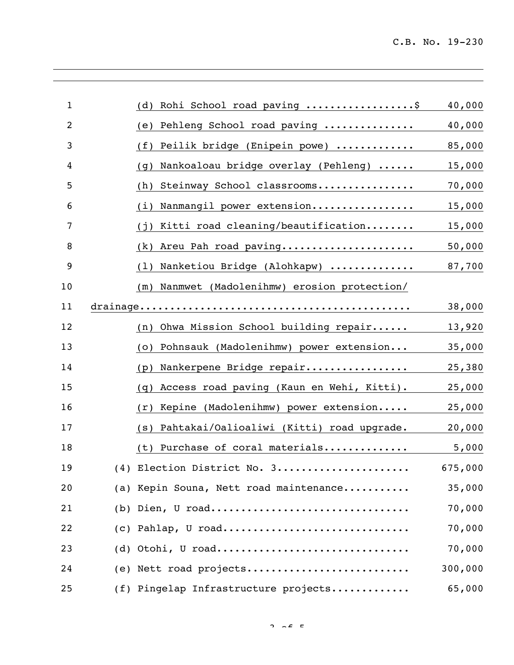| $\mathbf{1}$   | Rohi School road paving \$<br>(d)                | 40,000  |
|----------------|--------------------------------------------------|---------|
| $\overline{2}$ | Pehleng School road paving<br>(e)                | 40,000  |
| 3              | Peilik bridge (Enipein powe)<br>(f)              | 85,000  |
| 4              | Nankoaloau bridge overlay (Pehleng)<br>(q)       | 15,000  |
| 5              | Steinway School classrooms<br>(h)                | 70,000  |
| 6              | Nanmangil power extension<br>(i)                 | 15,000  |
| 7              | Kitti road cleaning/beautification<br>(i)        | 15,000  |
| 8              | Areu Pah road paving<br>(k)                      | 50,000  |
| 9              | Nanketiou Bridge (Alohkapw)<br>(1)               | 87,700  |
| 10             | Nanmwet (Madolenihmw) erosion protection/<br>(m) |         |
| 11             | drainage                                         | 38,000  |
| 12             | Ohwa Mission School building repair<br>(n)       | 13,920  |
| 13             | Pohnsauk (Madolenihmw) power extension<br>(0)    | 35,000  |
| 14             | Nankerpene Bridge repair<br>(p)                  | 25,380  |
| 15             | Access road paving (Kaun en Wehi, Kitti).<br>(q) | 25,000  |
| 16             | Kepine (Madolenihmw) power extension<br>(r)      | 25,000  |
| 17             | Pahtakai/Oalioaliwi (Kitti) road upgrade.<br>(S) | 20,000  |
| 18             | Purchase of coral materials<br>(t)               | 5,000   |
| 19             | (4) Election District No. 3                      | 675,000 |
| 20             | (a) Kepin Souna, Nett road maintenance           | 35,000  |
| 21             | (b) Dien, U road                                 | 70,000  |
| 22             | $(c)$ Pahlap, U road                             | 70,000  |
| 23             | $(d)$ Otohi, U road                              | 70,000  |
| 24             | (e) Nett road projects                           | 300,000 |
| 25             | (f) Pingelap Infrastructure projects             | 65,000  |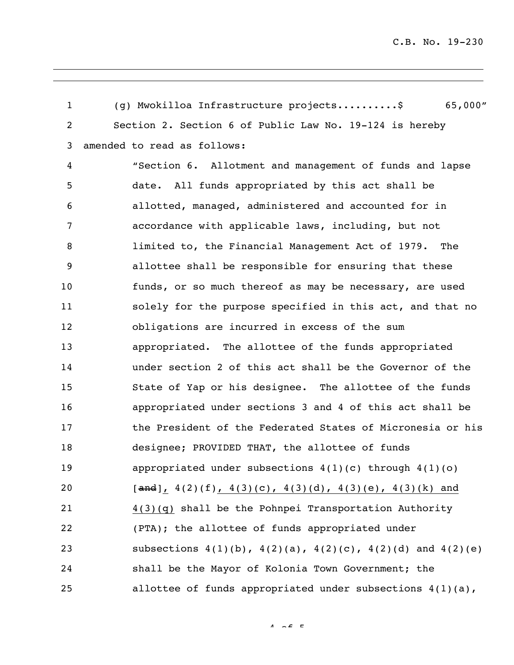(g) Mwokilloa Infrastructure projects..........\$ 65,000" Section 2. Section 6 of Public Law No. 19-124 is hereby amended to read as follows: "Section 6. Allotment and management of funds and lapse date. All funds appropriated by this act shall be allotted, managed, administered and accounted for in accordance with applicable laws, including, but not limited to, the Financial Management Act of 1979. The allottee shall be responsible for ensuring that these funds, or so much thereof as may be necessary, are used solely for the purpose specified in this act, and that no obligations are incurred in excess of the sum appropriated. The allottee of the funds appropriated under section 2 of this act shall be the Governor of the State of Yap or his designee. The allottee of the funds appropriated under sections 3 and 4 of this act shall be the President of the Federated States of Micronesia or his designee; PROVIDED THAT, the allottee of funds appropriated under subsections 4(1)(c) through 4(1)(o) [and], 4(2)(f), 4(3)(c), 4(3)(d), 4(3)(e), 4(3)(k) and 4(3)(q) shall be the Pohnpei Transportation Authority (PTA); the allottee of funds appropriated under subsections 4(1)(b), 4(2)(a), 4(2)(c), 4(2)(d) and 4(2)(e) shall be the Mayor of Kolonia Town Government; the allottee of funds appropriated under subsections 4(1)(a),

 $4 \times 5$